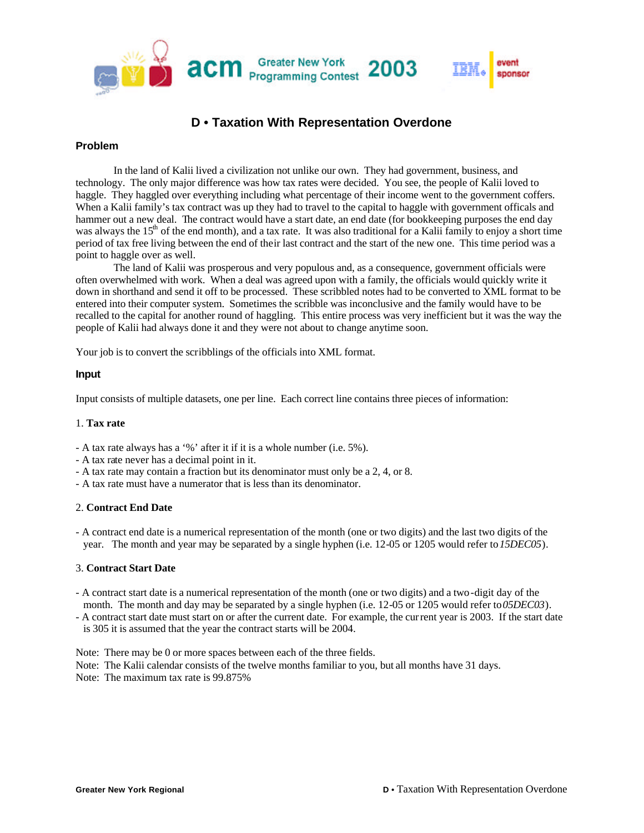

# **D • Taxation With Representation Overdone**

### **Problem**

In the land of Kalii lived a civilization not unlike our own. They had government, business, and technology. The only major difference was how tax rates were decided. You see, the people of Kalii loved to haggle. They haggled over everything including what percentage of their income went to the government coffers. When a Kalii family's tax contract was up they had to travel to the capital to haggle with government officals and hammer out a new deal. The contract would have a start date, an end date (for bookkeeping purposes the end day was always the  $15<sup>th</sup>$  of the end month), and a tax rate. It was also traditional for a Kalii family to enjoy a short time period of tax free living between the end of their last contract and the start of the new one. This time period was a point to haggle over as well.

The land of Kalii was prosperous and very populous and, as a consequence, government officials were often overwhelmed with work. When a deal was agreed upon with a family, the officials would quickly write it down in shorthand and send it off to be processed. These scribbled notes had to be converted to XML format to be entered into their computer system. Sometimes the scribble was inconclusive and the family would have to be recalled to the capital for another round of haggling. This entire process was very inefficient but it was the way the people of Kalii had always done it and they were not about to change anytime soon.

Your job is to convert the scribblings of the officials into XML format.

#### **Input**

Input consists of multiple datasets, one per line. Each correct line contains three pieces of information:

#### 1. **Tax rate**

- A tax rate always has a '%' after it if it is a whole number (i.e. 5%).
- A tax rate never has a decimal point in it.
- A tax rate may contain a fraction but its denominator must only be a 2, 4, or 8.
- A tax rate must have a numerator that is less than its denominator.

#### 2. **Contract End Date**

- A contract end date is a numerical representation of the month (one or two digits) and the last two digits of the year. The month and year may be separated by a single hyphen (i.e. 12-05 or 1205 would refer to *15DEC05*).

#### 3. **Contract Start Date**

- A contract start date is a numerical representation of the month (one or two digits) and a two-digit day of the month. The month and day may be separated by a single hyphen (i.e. 12-05 or 1205 would refer to *05DEC03*).
- A contract start date must start on or after the current date. For example, the current year is 2003. If the start date is 305 it is assumed that the year the contract starts will be 2004.

Note: There may be 0 or more spaces between each of the three fields.

Note: The Kalii calendar consists of the twelve months familiar to you, but all months have 31 days. Note: The maximum tax rate is 99.875%